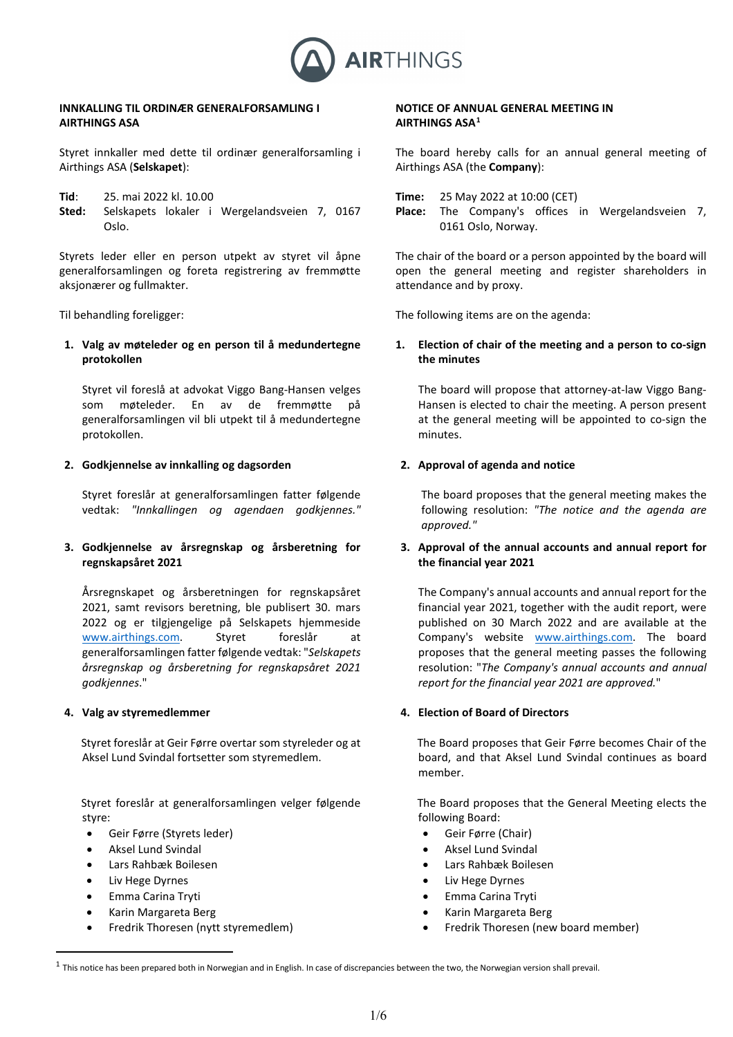

## **INNKALLING TIL ORDINÆR GENERALFORSAMLING I AIRTHINGS ASA**

Styret innkaller med dette til ordinær generalforsamling i Airthings ASA (**Selskapet**):

- **Tid**: 25. mai 2022 kl. 10.00
- **Sted:** Selskapets lokaler i Wergelandsveien 7, 0167 Oslo.

Styrets leder eller en person utpekt av styret vil åpne generalforsamlingen og foreta registrering av fremmøtte aksjonærer og fullmakter.

**1. Valg av møteleder og en person til å medundertegne protokollen**

Styret vil foreslå at advokat Viggo Bang-Hansen velges som møteleder. En av de fremmøtte på generalforsamlingen vil bli utpekt til å medundertegne protokollen.

## **2. Godkjennelse av innkalling og dagsorden**

Styret foreslår at generalforsamlingen fatter følgende vedtak: *"Innkallingen og agendaen godkjennes."*

**3. Godkjennelse av årsregnskap og årsberetning for regnskapsåret 2021**

Årsregnskapet og årsberetningen for regnskapsåret 2021, samt revisors beretning, ble publisert 30. mars 2022 og er tilgjengelige på Selskapets hjemmeside [www.airthings.com.](http://www.airthings.com/) Styret foreslår at generalforsamlingen fatter følgende vedtak: "*Selskapets årsregnskap og årsberetning for regnskapsåret 2021 godkjennes*."

## **4. Valg av styremedlemmer**

Styret foreslår at Geir Førre overtar som styreleder og at Aksel Lund Svindal fortsetter som styremedlem.

 Styret foreslår at generalforsamlingen velger følgende styre:

- Geir Førre (Styrets leder)
- Aksel Lund Svindal
- Lars Rahbæk Boilesen
- Liv Hege Dyrnes
- Emma Carina Tryti
- Karin Margareta Berg
- Fredrik Thoresen (nytt styremedlem)

# **NOTICE OF ANNUAL GENERAL MEETING IN AIRTHINGS ASA[1](#page-0-0)**

The board hereby calls for an annual general meeting of Airthings ASA (the **Company**):

**Time:** 25 May 2022 at 10:00 (CET)

**Place:** The Company's offices in Wergelandsveien 7, 0161 Oslo, Norway.

The chair of the board or a person appointed by the board will open the general meeting and register shareholders in attendance and by proxy.

Til behandling foreligger: The following items are on the agenda:

# **1. Election of chair of the meeting and a person to co-sign the minutes**

The board will propose that attorney-at-law Viggo Bang-Hansen is elected to chair the meeting. A person present at the general meeting will be appointed to co-sign the minutes.

# **2. Approval of agenda and notice**

The board proposes that the general meeting makes the following resolution: *"The notice and the agenda are approved."*

# **3. Approval of the annual accounts and annual report for the financial year 2021**

The Company's annual accounts and annual report for the financial year 2021, together with the audit report, were published on 30 March 2022 and are available at the Company's website [www.airthings.com.](http://www.airthings.com/) The board proposes that the general meeting passes the following resolution: "*The Company's annual accounts and annual report for the financial year 2021 are approved.*"

## **4. Election of Board of Directors**

The Board proposes that Geir Førre becomes Chair of the board, and that Aksel Lund Svindal continues as board member.

The Board proposes that the General Meeting elects the following Board:

- Geir Førre (Chair)
- Aksel Lund Svindal
- Lars Rahbæk Boilesen
- Liv Hege Dyrnes
- Emma Carina Tryti
- Karin Margareta Berg
- Fredrik Thoresen (new board member)

<span id="page-0-0"></span> $1$  This notice has been prepared both in Norwegian and in English. In case of discrepancies between the two, the Norwegian version shall prevail.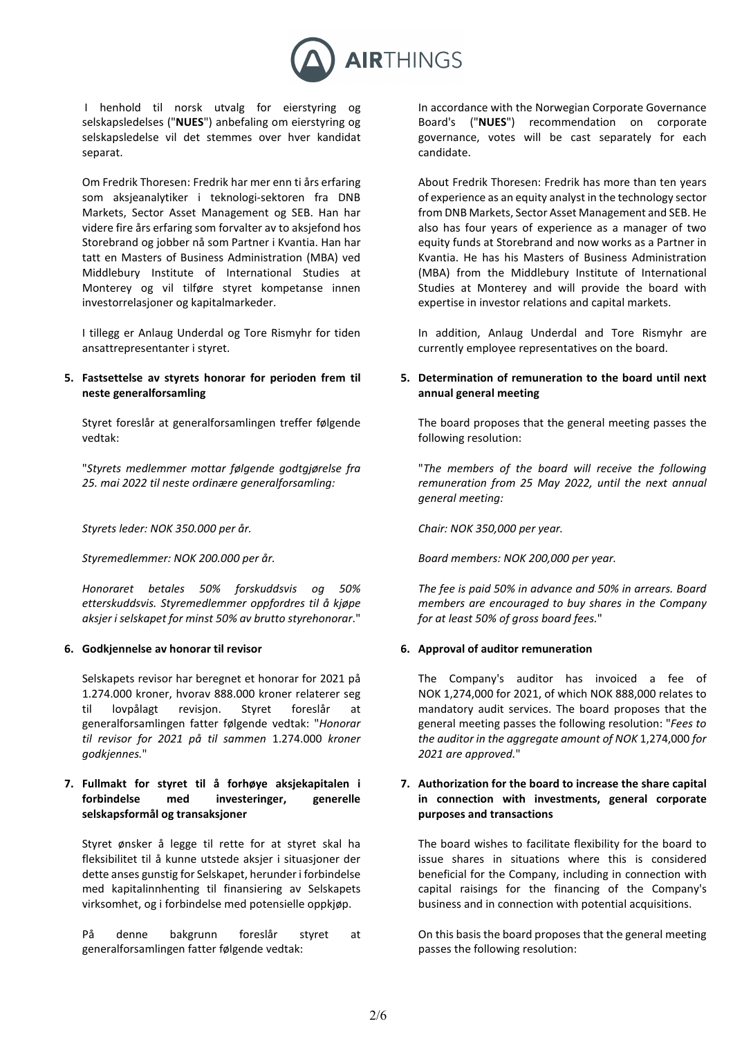

 I henhold til norsk utvalg for eierstyring og selskapsledelses ("**NUES**") anbefaling om eierstyring og selskapsledelse vil det stemmes over hver kandidat separat.

Om Fredrik Thoresen: Fredrik har mer enn ti års erfaring som aksjeanalytiker i teknologi-sektoren fra DNB Markets, Sector Asset Management og SEB. Han har videre fire års erfaring som forvalter av to aksjefond hos Storebrand og jobber nå som Partner i Kvantia. Han har tatt en Masters of Business Administration (MBA) ved Middlebury Institute of International Studies at Monterey og vil tilføre styret kompetanse innen investorrelasjoner og kapitalmarkeder.

I tillegg er Anlaug Underdal og Tore Rismyhr for tiden ansattrepresentanter i styret.

## **5. Fastsettelse av styrets honorar for perioden frem til neste generalforsamling**

Styret foreslår at generalforsamlingen treffer følgende vedtak:

"*Styrets medlemmer mottar følgende godtgjørelse fra 25. mai 2022 til neste ordinære generalforsamling:*

*Styrets leder: NOK 350.000 per år. Chair: NOK 350,000 per year.*

*Honoraret betales 50% forskuddsvis og 50% etterskuddsvis. Styremedlemmer oppfordres til å kjøpe aksjer i selskapet for minst 50% av brutto styrehonorar*."

## **6. Godkjennelse av honorar til revisor 6. Approval of auditor remuneration**

Selskapets revisor har beregnet et honorar for 2021 på 1.274.000 kroner, hvorav 888.000 kroner relaterer seg til lovpålagt revisjon. Styret foreslår at generalforsamlingen fatter følgende vedtak: "*Honorar til revisor for 2021 på til sammen* 1.274.000 *kroner godkjennes.*"

# **7. Fullmakt for styret til å forhøye aksjekapitalen i forbindelse med investeringer, generelle selskapsformål og transaksjoner**

Styret ønsker å legge til rette for at styret skal ha fleksibilitet til å kunne utstede aksjer i situasjoner der dette anses gunstig for Selskapet, herunder i forbindelse med kapitalinnhenting til finansiering av Selskapets virksomhet, og i forbindelse med potensielle oppkjøp.

På denne bakgrunn foreslår styret at generalforsamlingen fatter følgende vedtak:

In accordance with the Norwegian Corporate Governance Board's ("**NUES**") recommendation on corporate governance, votes will be cast separately for each candidate.

About Fredrik Thoresen: Fredrik has more than ten years of experience as an equity analyst in the technology sector from DNB Markets, Sector Asset Management and SEB. He also has four years of experience as a manager of two equity funds at Storebrand and now works as a Partner in Kvantia. He has his Masters of Business Administration (MBA) from the Middlebury Institute of International Studies at Monterey and will provide the board with expertise in investor relations and capital markets.

In addition, Anlaug Underdal and Tore Rismyhr are currently employee representatives on the board.

# **5. Determination of remuneration to the board until next annual general meeting**

The board proposes that the general meeting passes the following resolution:

"*The members of the board will receive the following remuneration from 25 May 2022, until the next annual general meeting:*

*Styremedlemmer: NOK 200.000 per år. Board members: NOK 200,000 per year.*

*The fee is paid 50% in advance and 50% in arrears. Board members are encouraged to buy shares in the Company for at least 50% of gross board fees.*"

The Company's auditor has invoiced a fee of NOK 1,274,000 for 2021, of which NOK 888,000 relates to mandatory audit services. The board proposes that the general meeting passes the following resolution: "*Fees to the auditor in the aggregate amount of NOK* 1,274,000 *for 2021 are approved.*"

# **7. Authorization for the board to increase the share capital in connection with investments, general corporate purposes and transactions**

The board wishes to facilitate flexibility for the board to issue shares in situations where this is considered beneficial for the Company, including in connection with capital raisings for the financing of the Company's business and in connection with potential acquisitions.

On this basis the board proposes that the general meeting passes the following resolution: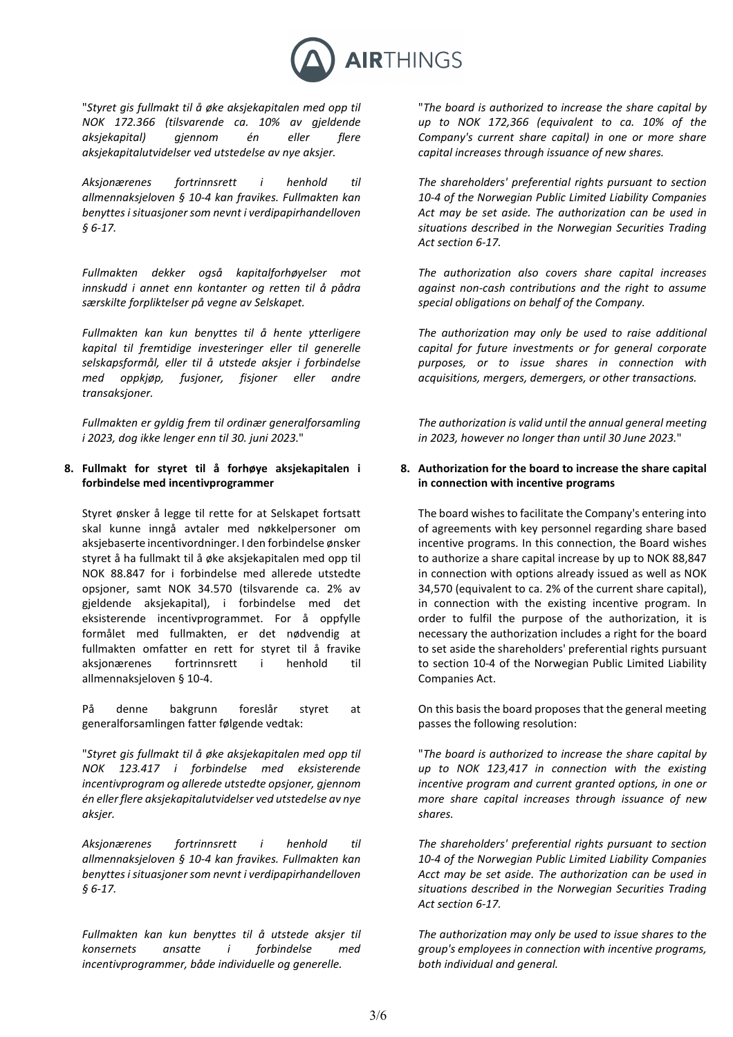

"*Styret gis fullmakt til å øke aksjekapitalen med opp til NOK 172.366 (tilsvarende ca. 10% av gjeldende aksjekapital) gjennom én eller flere aksjekapitalutvidelser ved utstedelse av nye aksjer.*

*Aksjonærenes fortrinnsrett i henhold til allmennaksjeloven § 10-4 kan fravikes. Fullmakten kan benyttes i situasjoner som nevnt i verdipapirhandelloven § 6-17.*

*Fullmakten dekker også kapitalforhøyelser mot innskudd i annet enn kontanter og retten til å pådra særskilte forpliktelser på vegne av Selskapet.* 

*Fullmakten kan kun benyttes til å hente ytterligere kapital til fremtidige investeringer eller til generelle selskapsformål, eller til å utstede aksjer i forbindelse med oppkjøp, fusjoner, fisjoner eller andre transaksjoner.*

*Fullmakten er gyldig frem til ordinær generalforsamling i 2023, dog ikke lenger enn til 30. juni 2023.*"

# **8. Fullmakt for styret til å forhøye aksjekapitalen i forbindelse med incentivprogrammer**

Styret ønsker å legge til rette for at Selskapet fortsatt skal kunne inngå avtaler med nøkkelpersoner om aksjebaserte incentivordninger. I den forbindelse ønsker styret å ha fullmakt til å øke aksjekapitalen med opp til NOK 88.847 for i forbindelse med allerede utstedte opsjoner, samt NOK 34.570 (tilsvarende ca. 2% av gjeldende aksjekapital), i forbindelse med det eksisterende incentivprogrammet. For å oppfylle formålet med fullmakten, er det nødvendig at fullmakten omfatter en rett for styret til å fravike aksjonærenes fortrinnsrett i henhold til allmennaksjeloven § 10-4.

På denne bakgrunn foreslår styret at generalforsamlingen fatter følgende vedtak:

"*Styret gis fullmakt til å øke aksjekapitalen med opp til NOK 123.417 i forbindelse med eksisterende incentivprogram og allerede utstedte opsjoner, gjennom én eller flere aksjekapitalutvidelser ved utstedelse av nye aksjer.*

*Aksjonærenes fortrinnsrett i henhold til allmennaksjeloven § 10-4 kan fravikes. Fullmakten kan benyttes i situasjoner som nevnt i verdipapirhandelloven § 6-17.*

*Fullmakten kan kun benyttes til å utstede aksjer til konsernets ansatte i forbindelse med incentivprogrammer, både individuelle og generelle.*

"*The board is authorized to increase the share capital by up to NOK 172,366 (equivalent to ca. 10% of the Company's current share capital) in one or more share capital increases through issuance of new shares.*

*The shareholders' preferential rights pursuant to section 10-4 of the Norwegian Public Limited Liability Companies Act may be set aside. The authorization can be used in situations described in the Norwegian Securities Trading Act section 6-17.*

*The authorization also covers share capital increases against non-cash contributions and the right to assume special obligations on behalf of the Company.* 

*The authorization may only be used to raise additional capital for future investments or for general corporate purposes, or to issue shares in connection with acquisitions, mergers, demergers, or other transactions.*

*The authorization is valid until the annual general meeting in 2023, however no longer than until 30 June 2023.*"

# **8. Authorization for the board to increase the share capital in connection with incentive programs**

The board wishes to facilitate the Company's entering into of agreements with key personnel regarding share based incentive programs. In this connection, the Board wishes to authorize a share capital increase by up to NOK 88,847 in connection with options already issued as well as NOK 34,570 (equivalent to ca. 2% of the current share capital), in connection with the existing incentive program. In order to fulfil the purpose of the authorization, it is necessary the authorization includes a right for the board to set aside the shareholders' preferential rights pursuant to section 10-4 of the Norwegian Public Limited Liability Companies Act.

On this basis the board proposes that the general meeting passes the following resolution:

"*The board is authorized to increase the share capital by up to NOK 123,417 in connection with the existing incentive program and current granted options, in one or more share capital increases through issuance of new shares.*

*The shareholders' preferential rights pursuant to section 10-4 of the Norwegian Public Limited Liability Companies Acct may be set aside. The authorization can be used in situations described in the Norwegian Securities Trading Act section 6-17.*

*The authorization may only be used to issue shares to the group's employees in connection with incentive programs, both individual and general.*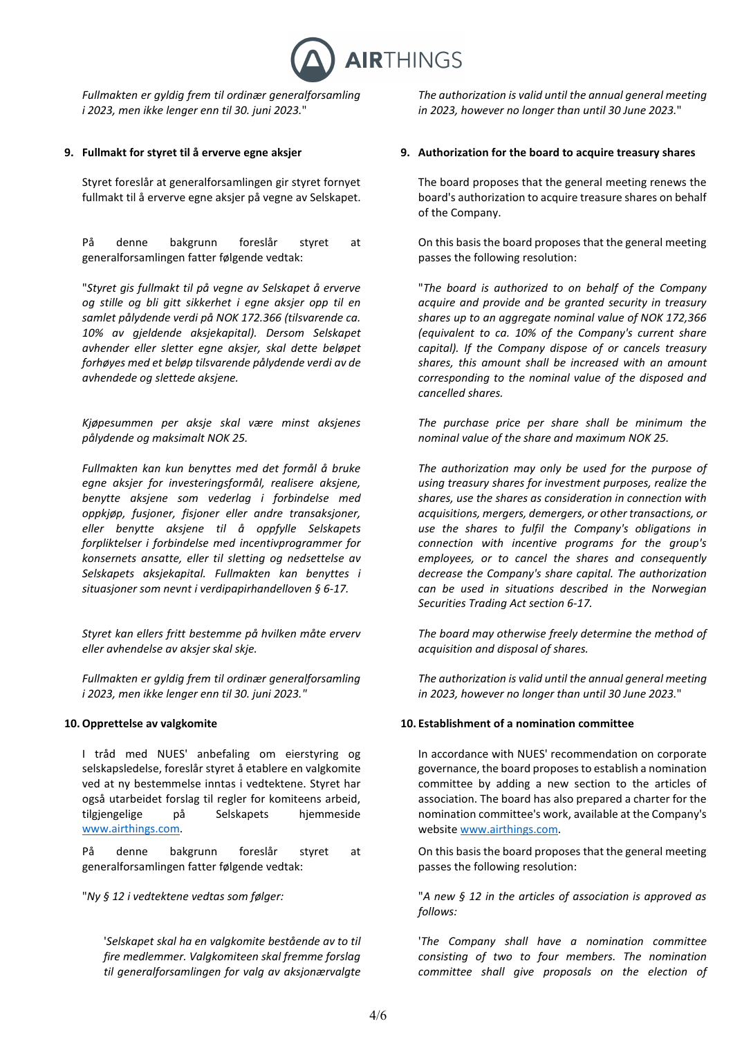

*Fullmakten er gyldig frem til ordinær generalforsamling i 2023, men ikke lenger enn til 30. juni 2023.*"

Styret foreslår at generalforsamlingen gir styret fornyet fullmakt til å erverve egne aksjer på vegne av Selskapet.

På denne bakgrunn foreslår styret at generalforsamlingen fatter følgende vedtak:

"*Styret gis fullmakt til på vegne av Selskapet å erverve og stille og bli gitt sikkerhet i egne aksjer opp til en samlet pålydende verdi på NOK 172.366 (tilsvarende ca. 10% av gjeldende aksjekapital). Dersom Selskapet avhender eller sletter egne aksjer, skal dette beløpet forhøyes med et beløp tilsvarende pålydende verdi av de avhendede og slettede aksjene.*

*Kjøpesummen per aksje skal være minst aksjenes pålydende og maksimalt NOK 25.*

*Fullmakten kan kun benyttes med det formål å bruke egne aksjer for investeringsformål, realisere aksjene, benytte aksjene som vederlag i forbindelse med oppkjøp, fusjoner, fisjoner eller andre transaksjoner, eller benytte aksjene til å oppfylle Selskapets forpliktelser i forbindelse med incentivprogrammer for konsernets ansatte, eller til sletting og nedsettelse av Selskapets aksjekapital. Fullmakten kan benyttes i situasjoner som nevnt i verdipapirhandelloven § 6-17.*

*Styret kan ellers fritt bestemme på hvilken måte erverv eller avhendelse av aksjer skal skje.* 

*Fullmakten er gyldig frem til ordinær generalforsamling i 2023, men ikke lenger enn til 30. juni 2023."*

I tråd med NUES' anbefaling om eierstyring og selskapsledelse, foreslår styret å etablere en valgkomite ved at ny bestemmelse inntas i vedtektene. Styret har også utarbeidet forslag til regler for komiteens arbeid, tilgjengelige på Selskapets hjemmeside [www.airthings.com.](http://www.airthings.com/)

På denne bakgrunn foreslår styret at generalforsamlingen fatter følgende vedtak:

'*Selskapet skal ha en valgkomite bestående av to til fire medlemmer. Valgkomiteen skal fremme forslag til generalforsamlingen for valg av aksjonærvalgte* 

*The authorization is valid until the annual general meeting in 2023, however no longer than until 30 June 2023.*"

## **9. Fullmakt for styret til å erverve egne aksjer 9. Authorization for the board to acquire treasury shares**

The board proposes that the general meeting renews the board's authorization to acquire treasure shares on behalf of the Company.

On this basis the board proposes that the general meeting passes the following resolution:

"*The board is authorized to on behalf of the Company acquire and provide and be granted security in treasury shares up to an aggregate nominal value of NOK 172,366 (equivalent to ca. 10% of the Company's current share capital). If the Company dispose of or cancels treasury shares, this amount shall be increased with an amount corresponding to the nominal value of the disposed and cancelled shares.*

*The purchase price per share shall be minimum the nominal value of the share and maximum NOK 25.*

*The authorization may only be used for the purpose of using treasury shares for investment purposes, realize the shares, use the shares as consideration in connection with acquisitions, mergers, demergers, or other transactions, or use the shares to fulfil the Company's obligations in connection with incentive programs for the group's employees, or to cancel the shares and consequently decrease the Company's share capital. The authorization can be used in situations described in the Norwegian Securities Trading Act section 6-17.*

*The board may otherwise freely determine the method of acquisition and disposal of shares.*

*The authorization is valid until the annual general meeting in 2023, however no longer than until 30 June 2023.*"

## **10.Opprettelse av valgkomite 10. Establishment of a nomination committee**

In accordance with NUES' recommendation on corporate governance, the board proposes to establish a nomination committee by adding a new section to the articles of association. The board has also prepared a charter for the nomination committee's work, available at the Company's websit[e www.airthings.com.](http://www.airthings.com/)

On this basis the board proposes that the general meeting passes the following resolution:

"*Ny § 12 i vedtektene vedtas som følger:* "*A new § 12 in the articles of association is approved as follows:*

> '*The Company shall have a nomination committee consisting of two to four members. The nomination committee shall give proposals on the election of*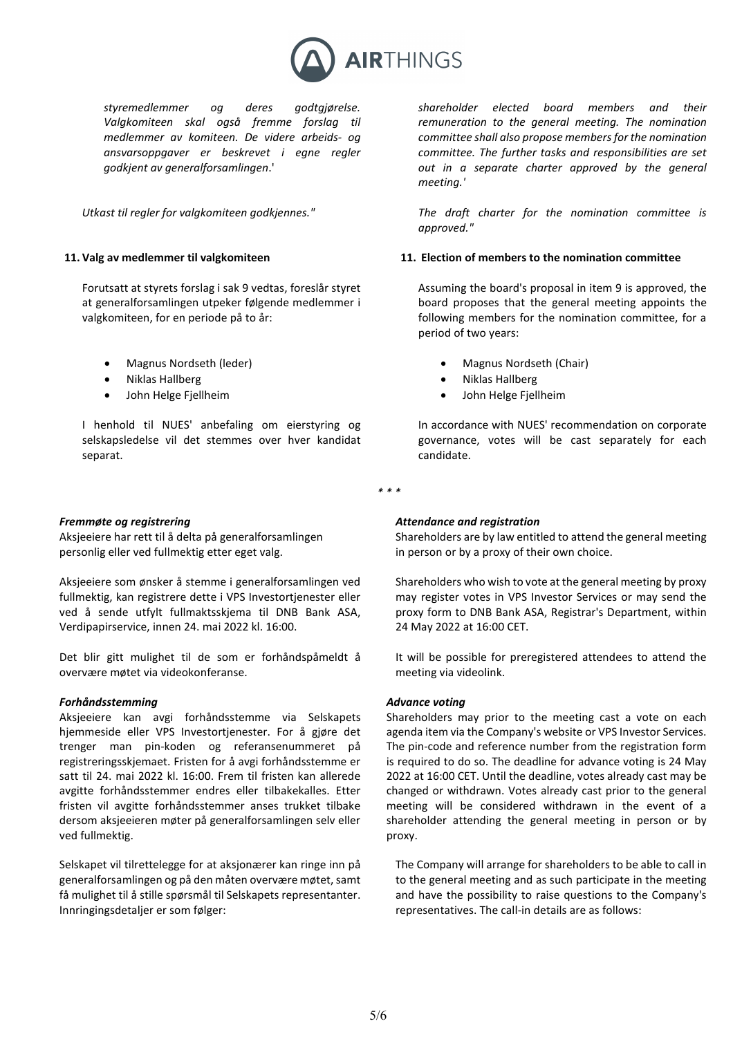

*styremedlemmer og deres godtgjørelse. Valgkomiteen skal også fremme forslag til medlemmer av komiteen. De videre arbeids- og ansvarsoppgaver er beskrevet i egne regler godkjent av generalforsamlingen*.'

*Utkast til regler for valgkomiteen godkjennes."* 

Forutsatt at styrets forslag i sak 9 vedtas, foreslår styret at generalforsamlingen utpeker følgende medlemmer i valgkomiteen, for en periode på to år:

- 
- 
- 

I henhold til NUES' anbefaling om eierstyring og selskapsledelse vil det stemmes over hver kandidat separat.

### *Fremmøte og registrering*

Aksjeeiere har rett til å delta på generalforsamlingen personlig eller ved fullmektig etter eget valg.

Aksjeeiere som ønsker å stemme i generalforsamlingen ved fullmektig, kan registrere dette i VPS Investortjenester eller ved å sende utfylt fullmaktsskjema til DNB Bank ASA, Verdipapirservice, innen 24. mai 2022 kl. 16:00.

Det blir gitt mulighet til de som er forhåndspåmeldt å overvære møtet via videokonferanse.

### *Forhåndsstemming*

Aksjeeiere kan avgi forhåndsstemme via Selskapets hjemmeside eller VPS Investortjenester. For å gjøre det trenger man pin-koden og referansenummeret på registreringsskjemaet. Fristen for å avgi forhåndsstemme er satt til 24. mai 2022 kl. 16:00. Frem til fristen kan allerede avgitte forhåndsstemmer endres eller tilbakekalles. Etter fristen vil avgitte forhåndsstemmer anses trukket tilbake dersom aksjeeieren møter på generalforsamlingen selv eller ved fullmektig.

Selskapet vil tilrettelegge for at aksjonærer kan ringe inn på generalforsamlingen og på den måten overvære møtet, samt få mulighet til å stille spørsmål til Selskapets representanter. Innringingsdetaljer er som følger:

*shareholder elected board members and their remuneration to the general meeting. The nomination committee shall also propose members for the nomination committee. The further tasks and responsibilities are set out in a separate charter approved by the general meeting.'*

*The draft charter for the nomination committee is approved."* 

### **11. Valg av medlemmer til valgkomiteen 11. Election of members to the nomination committee**

Assuming the board's proposal in item 9 is approved, the board proposes that the general meeting appoints the following members for the nomination committee, for a period of two years:

- Magnus Nordseth (leder) Magnus Nordseth (Chair)
- Niklas Hallberg Niklas Hallberg
- John Helge Fjellheim John Helge Fjellheim

In accordance with NUES' recommendation on corporate governance, votes will be cast separately for each candidate.

*\* \* \**

## *Attendance and registration*

Shareholders are by law entitled to attend the general meeting in person or by a proxy of their own choice.

Shareholders who wish to vote at the general meeting by proxy may register votes in VPS Investor Services or may send the proxy form to DNB Bank ASA, Registrar's Department, within 24 May 2022 at 16:00 CET.

It will be possible for preregistered attendees to attend the meeting via videolink.

### *Advance voting*

Shareholders may prior to the meeting cast a vote on each agenda item via the Company's website or VPS Investor Services. The pin-code and reference number from the registration form is required to do so. The deadline for advance voting is 24 May 2022 at 16:00 CET. Until the deadline, votes already cast may be changed or withdrawn. Votes already cast prior to the general meeting will be considered withdrawn in the event of a shareholder attending the general meeting in person or by proxy.

The Company will arrange for shareholders to be able to call in to the general meeting and as such participate in the meeting and have the possibility to raise questions to the Company's representatives. The call-in details are as follows: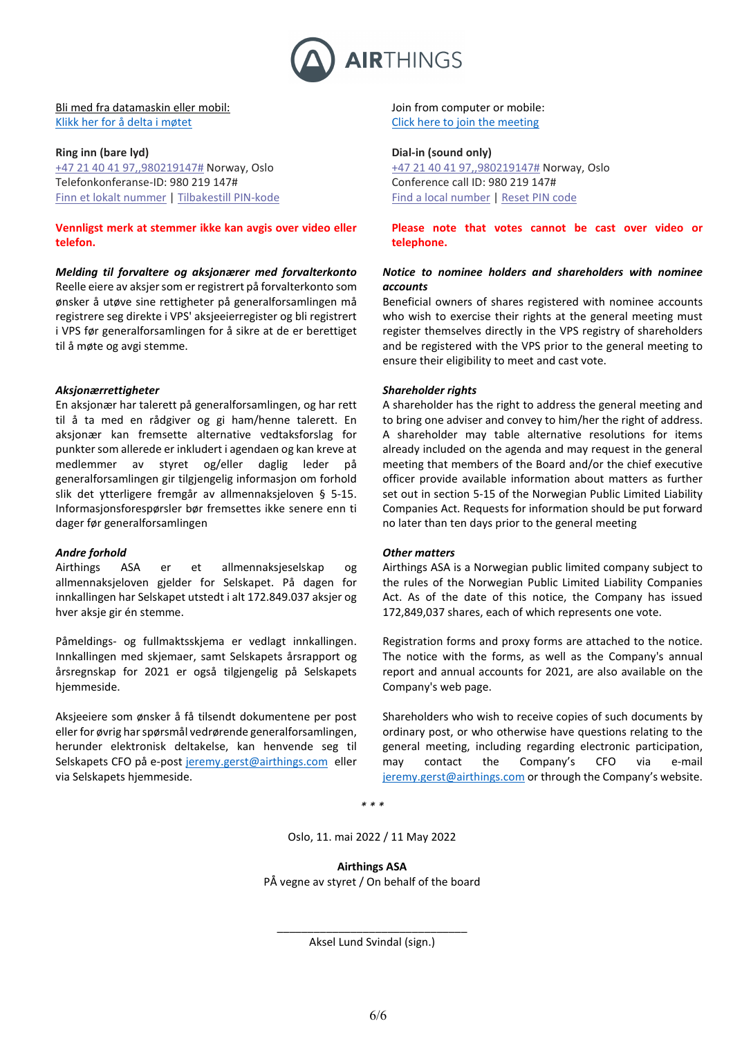

## Bli med fra datamaskin eller mobil: [Klikk her for å delta i møtet](https://teams.microsoft.com/l/meetup-join/19%3ameeting_ZTY4YzQ0ZmUtMTFjOS00MDEwLThlMmQtNjJhM2FjZGMxN2Vj%40thread.v2/0?context=%7b%22Tid%22%3a%224651385e-cc62-44a7-bde5-dbda3fc721be%22%2c%22Oid%22%3a%225081705f-bf2e-461f-971a-b164d6828afb%22%7d)

#### **Ring inn (bare lyd)**

[+47 21 40 41 97,,980219147#](tel:+4721404197,,980219147#%20) Norway, Oslo Telefonkonferanse-ID: 980 219 147# [Finn et lokalt nummer](https://dialin.teams.microsoft.com/7ac99775-b715-434d-bb3e-f9ab9756272c?id=980219147) | [Tilbakestill PIN-kode](https://mysettings.lync.com/pstnconferencing)

**Vennligst merk at stemmer ikke kan avgis over video eller telefon.**

*Melding til forvaltere og aksjonærer med forvalterkonto* Reelle eiere av aksjer som er registrert på forvalterkonto som ønsker å utøve sine rettigheter på generalforsamlingen må registrere seg direkte i VPS' aksjeeierregister og bli registrert i VPS før generalforsamlingen for å sikre at de er berettiget til å møte og avgi stemme.

## *Aksjonærrettigheter*

En aksjonær har talerett på generalforsamlingen, og har rett til å ta med en rådgiver og gi ham/henne talerett. En aksjonær kan fremsette alternative vedtaksforslag for punkter som allerede er inkludert i agendaen og kan kreve at medlemmer av styret og/eller daglig leder på generalforsamlingen gir tilgjengelig informasjon om forhold slik det ytterligere fremgår av allmennaksjeloven § 5-15. Informasjonsforespørsler bør fremsettes ikke senere enn ti dager før generalforsamlingen

## *Andre forhold*

Airthings ASA er et allmennaksjeselskap og allmennaksjeloven gjelder for Selskapet. På dagen for innkallingen har Selskapet utstedt i alt 172.849.037 aksjer og hver aksje gir én stemme.

Påmeldings- og fullmaktsskjema er vedlagt innkallingen. Innkallingen med skjemaer, samt Selskapets årsrapport og årsregnskap for 2021 er også tilgjengelig på Selskapets hjemmeside.

Aksjeeiere som ønsker å få tilsendt dokumentene per post eller for øvrig har spørsmål vedrørende generalforsamlingen, herunder elektronisk deltakelse, kan henvende seg til Selskapets CFO på e-post jeremy.gerst@airthings.com eller via Selskapets hjemmeside.

Join from computer or mobile: [Click here to join the meeting](https://teams.microsoft.com/dl/launcher/launcher.html?url=%2F_%23%2Fl%2Fmeetup-join%2F19%3Ameeting_ZTY4YzQ0ZmUtMTFjOS00MDEwLThlMmQtNjJhM2FjZGMxN2Vj%40thread.v2%2F0%3Fcontext%3D%257b%2522Tid%2522%253a%25224651385e-cc62-44a7-bde5-dbda3fc721be%2522%252c%2522Oid%2522%253a%25225081705f-bf2e-461f-971a-b164d6828afb%2522%257d%26anon%3Dtrue&type=meetup-join&deeplinkId=616f9016-e7c1-41aa-bd1e-7faf5c816f88&directDl=true&msLaunch=true&enableMobilePage=true&suppressPrompt=true)

## **Dial-in (sound only)**

[+47 21 40 41 97,,980219147#](tel:+4721404197,,980219147#%20) Norway, Oslo Conference call ID: 980 219 147# [Find a local number](https://dialin.teams.microsoft.com/7ac99775-b715-434d-bb3e-f9ab9756272c?id=980219147) | [Reset](https://mysettings.lync.com/pstnconferencing) PIN code

**Please note that votes cannot be cast over video or telephone.**

## *Notice to nominee holders and shareholders with nominee accounts*

Beneficial owners of shares registered with nominee accounts who wish to exercise their rights at the general meeting must register themselves directly in the VPS registry of shareholders and be registered with the VPS prior to the general meeting to ensure their eligibility to meet and cast vote.

## *Shareholder rights*

A shareholder has the right to address the general meeting and to bring one adviser and convey to him/her the right of address. A shareholder may table alternative resolutions for items already included on the agenda and may request in the general meeting that members of the Board and/or the chief executive officer provide available information about matters as further set out in section 5-15 of the Norwegian Public Limited Liability Companies Act. Requests for information should be put forward no later than ten days prior to the general meeting

### *Other matters*

Airthings ASA is a Norwegian public limited company subject to the rules of the Norwegian Public Limited Liability Companies Act. As of the date of this notice, the Company has issued 172,849,037 shares, each of which represents one vote.

Registration forms and proxy forms are attached to the notice. The notice with the forms, as well as the Company's annual report and annual accounts for 2021, are also available on the Company's web page.

Shareholders who wish to receive copies of such documents by ordinary post, or who otherwise have questions relating to the general meeting, including regarding electronic participation, may contact the Company's CFO via e-mail [jeremy.gerst@airthings.com](mailto:jeremy.gerst@airthings.com) or through the Company's website.

*\* \* \**

Oslo, 11. mai 2022 / 11 May 2022

**Airthings ASA** PÅ vegne av styret / On behalf of the board

\_\_\_\_\_\_\_\_\_\_\_\_\_\_\_\_\_\_\_\_\_\_\_\_\_\_\_\_\_\_\_ Aksel Lund Svindal (sign.)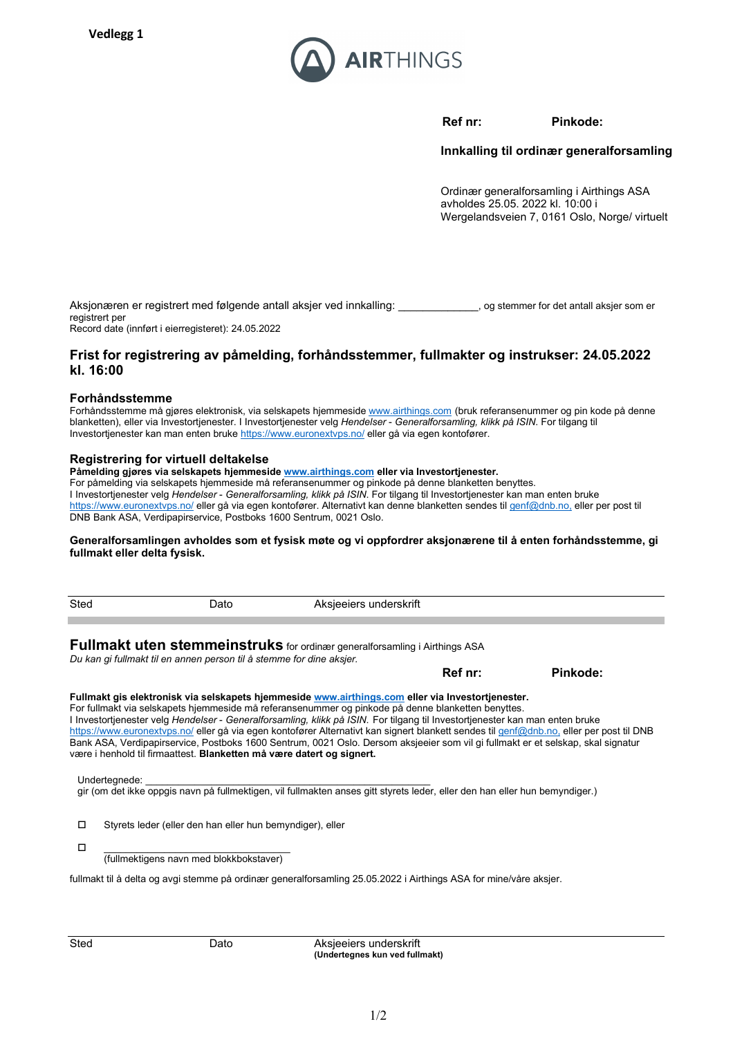

**Ref nr: Pinkode:**

**Innkalling til ordinær generalforsamling**

Ordinær generalforsamling i Airthings ASA avholdes 25.05. 2022 kl. 10:00 i Wergelandsveien 7, 0161 Oslo, Norge/ virtuelt

| Aksjonæren er registrert med følgende antall aksjer ved innkalling: | o a stemmer for det antall aksier som er |
|---------------------------------------------------------------------|------------------------------------------|
| registrert per                                                      |                                          |

Record date (innført i eierregisteret): 24.05.2022

# **Frist for registrering av påmelding, forhåndsstemmer, fullmakter og instrukser: 24.05.2022 kl. 16:00**

## **Forhåndsstemme**

Forhåndsstemme må gjøres elektronisk, via selskapets hjemmesid[e www.airthings.com](http://www.airthings.com/) (bruk referansenummer og pin kode på denne blanketten), eller via Investortjenester. I Investortjenester velg *Hendelser* - *Generalforsamling, klikk på ISIN*. For tilgang til Investortjenester kan man enten bruk[e https://www.euronextvps.no/](https://www.euronextvps.no/) eller gå via egen kontofører.

## **Registrering for virtuell deltakelse**

**Påmelding gjøres via selskapets hjemmesid[e www.airthings.com](http://www.airthings.com/) eller via Investortjenester.** [For påmelding via selskapets](https://www.euronextvps.no/) hjemmeside må referansenummer og pinkode på denne blanketten benyttes. I Investortjenester velg *Hendelser* - *Generalforsamling, klikk på ISIN*. For tilgang til Investortjenester kan man enten bruke https://www.euronextvps.no/ eller gå via egen kontofører. Alternativt kan denne blanketten sendes til [genf@dnb.no,](mailto:genf@dnb.no) eller per post til DNB Bank ASA, Verdipapirservice, Postboks 1600 Sentrum, 0021 Oslo.

## **Generalforsamlingen avholdes som et fysisk møte og vi oppfordrer aksjonærene til å enten forhåndsstemme, gi fullmakt eller delta fysisk.**

| Sted |                                                                      | Dato | Aksjeeiers underskrift                                                                                                                                                                                                                                                                                                                                                                                                                                                                                                                                                                                                                                                                           |         |          |
|------|----------------------------------------------------------------------|------|--------------------------------------------------------------------------------------------------------------------------------------------------------------------------------------------------------------------------------------------------------------------------------------------------------------------------------------------------------------------------------------------------------------------------------------------------------------------------------------------------------------------------------------------------------------------------------------------------------------------------------------------------------------------------------------------------|---------|----------|
|      | Du kan gi fullmakt til en annen person til å stemme for dine aksjer. |      | <b>Fullmakt uten stemmeinstruks</b> for ordinær generalforsamling i Airthings ASA                                                                                                                                                                                                                                                                                                                                                                                                                                                                                                                                                                                                                |         |          |
|      |                                                                      |      |                                                                                                                                                                                                                                                                                                                                                                                                                                                                                                                                                                                                                                                                                                  | Ref nr: | Pinkode: |
|      |                                                                      |      | Fullmakt gis elektronisk via selskapets hjemmeside www.airthings.com eller via Investortjenester.<br>For fullmakt via selskapets hjemmeside må referansenummer og pinkode på denne blanketten benyttes.<br>I Investortjenester velg Hendelser - Generalforsamling, klikk på ISIN. For tilgang til Investortjenester kan man enten bruke<br>https://www.euronextvps.no/ eller gå via egen kontofører Alternativt kan signert blankett sendes til genf@dnb.no, eller per post til DNB<br>Bank ASA, Verdipapirservice, Postboks 1600 Sentrum, 0021 Oslo. Dersom aksjeeier som vil gi fullmakt er et selskap, skal signatur<br>være i henhold til firmaattest. Blanketten må være datert og signert. |         |          |
|      | Undertegnede:                                                        |      | gir (om det ikke oppgis navn på fullmektigen, vil fullmakten anses gitt styrets leder, eller den han eller hun bemyndiger.)                                                                                                                                                                                                                                                                                                                                                                                                                                                                                                                                                                      |         |          |
| □    | Styrets leder (eller den han eller hun bemyndiger), eller            |      |                                                                                                                                                                                                                                                                                                                                                                                                                                                                                                                                                                                                                                                                                                  |         |          |
| □    | (fullmektigens navn med blokkbokstaver)                              |      |                                                                                                                                                                                                                                                                                                                                                                                                                                                                                                                                                                                                                                                                                                  |         |          |
|      |                                                                      |      | fullmakt til å delta og avgi stemme på ordinær generalforsamling 25.05.2022 i Airthings ASA for mine/våre aksjer.                                                                                                                                                                                                                                                                                                                                                                                                                                                                                                                                                                                |         |          |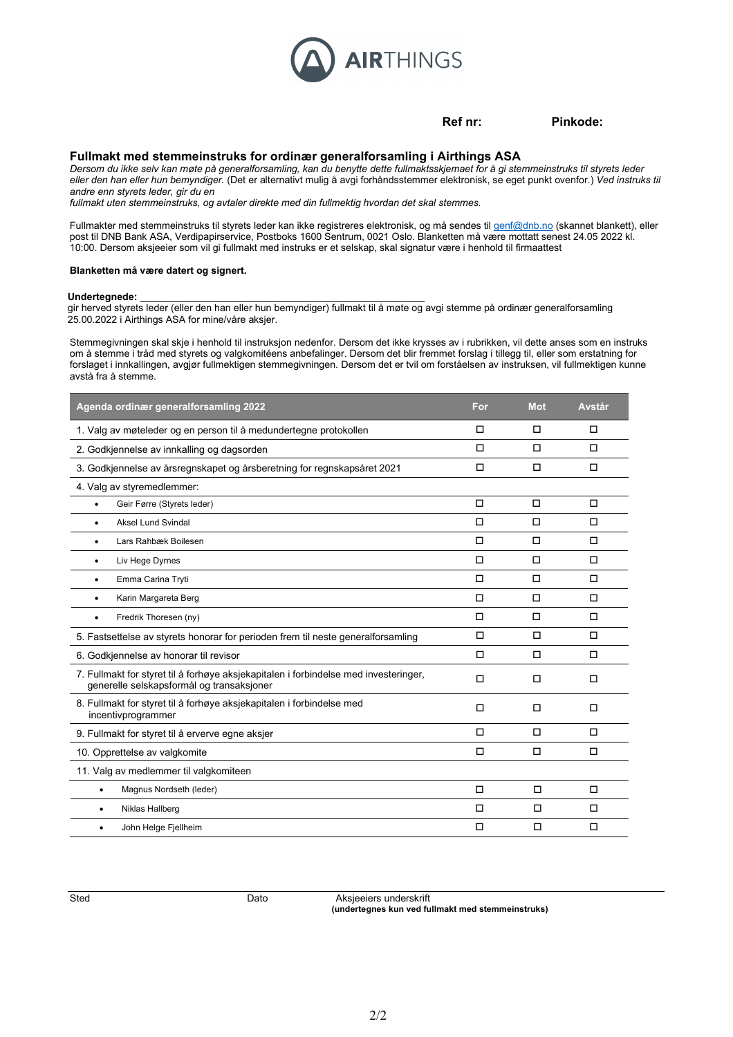

**Ref nr: Pinkode:**

### **Fullmakt med stemmeinstruks for ordinær generalforsamling i Airthings ASA**

*Dersom du ikke selv kan møte på generalforsamling, kan du benytte dette fullmaktsskjemaet for å gi stemmeinstruks til styrets leder eller den han eller hun bemyndiger.* (Det er alternativt mulig å avgi forhåndsstemmer elektronisk, se eget punkt ovenfor.) *Ved instruks til andre enn styrets leder, gir du en* 

*fullmakt uten stemmeinstruks, og avtaler direkte med din fullmektig hvordan det skal stemmes.* 

Fullmakter med stemmeinstruks til styrets leder kan ikke registreres elektronisk, og må sendes til <u>genf@dnb.no</u> (skannet blankett), eller post til DNB Bank ASA, Verdipapirservice, Postboks 1600 Sentrum, 0021 Oslo. Blanketten må være mottatt senest 24.05 2022 kl. 10:00. Dersom aksjeeier som vil gi fullmakt med instruks er et selskap, skal signatur være i henhold til firmaattest

#### **Blanketten må være datert og signert.**

## **Undertegnede:** \_\_\_\_\_\_\_\_\_\_\_\_\_\_\_\_\_\_\_\_\_\_\_\_\_\_\_\_\_\_\_\_\_\_\_\_\_\_\_\_\_\_\_\_\_\_\_\_\_\_\_\_

gir herved styrets leder (eller den han eller hun bemyndiger) fullmakt til å møte og avgi stemme på ordinær generalforsamling 25.00.2022 i Airthings ASA for mine/våre aksjer.

Stemmegivningen skal skje i henhold til instruksjon nedenfor. Dersom det ikke krysses av i rubrikken, vil dette anses som en instruks om å stemme i tråd med styrets og valgkomitéens anbefalinger. Dersom det blir fremmet forslag i tillegg til, eller som erstatning for forslaget i innkallingen, avgjør fullmektigen stemmegivningen. Dersom det er tvil om forståelsen av instruksen, vil fullmektigen kunne avstå fra å stemme.

| Agenda ordinær generalforsamling 2022                                                                                             | For    | <b>Mot</b> | Avstår |
|-----------------------------------------------------------------------------------------------------------------------------------|--------|------------|--------|
| 1. Valg av møteleder og en person til å medundertegne protokollen                                                                 | п      | п          | □      |
| 2. Godkjennelse av innkalling og dagsorden                                                                                        | п      | $\Box$     | $\Box$ |
| 3. Godkjennelse av årsregnskapet og årsberetning for regnskapsåret 2021                                                           | $\Box$ | $\Box$     | $\Box$ |
| 4. Valg av styremedlemmer:                                                                                                        |        |            |        |
| Geir Førre (Styrets leder)<br>$\bullet$                                                                                           | $\Box$ | $\Box$     | $\Box$ |
| Aksel Lund Svindal                                                                                                                | □      | □          | □      |
| Lars Rahbæk Boilesen<br>$\bullet$                                                                                                 | $\Box$ | $\Box$     | □      |
| Liv Hege Dyrnes<br>$\bullet$                                                                                                      | п      | $\Box$     | $\Box$ |
| Emma Carina Tryti<br>$\bullet$                                                                                                    | П      | $\Box$     | $\Box$ |
| Karin Margareta Berg<br>$\bullet$                                                                                                 | П      | $\Box$     | $\Box$ |
| Fredrik Thoresen (ny)<br>$\bullet$                                                                                                | $\Box$ | $\Box$     | $\Box$ |
| 5. Fastsettelse av styrets honorar for perioden frem til neste generalforsamling                                                  | $\Box$ | $\Box$     | $\Box$ |
| 6. Godkjennelse av honorar til revisor                                                                                            | П      | $\Box$     | $\Box$ |
| 7. Fullmakt for styret til å forhøye aksjekapitalen i forbindelse med investeringer,<br>generelle selskapsformål og transaksjoner | $\Box$ | $\Box$     | □      |
| 8. Fullmakt for styret til å forhøye aksjekapitalen i forbindelse med<br>incentivprogrammer                                       | $\Box$ | □          | □      |
| 9. Fullmakt for styret til å erverve egne aksjer                                                                                  | п      | $\Box$     | $\Box$ |
| 10. Opprettelse av valgkomite                                                                                                     | п      | $\Box$     | $\Box$ |
| 11. Valg av medlemmer til valgkomiteen                                                                                            |        |            |        |
| Magnus Nordseth (leder)<br>٠                                                                                                      | $\Box$ | $\Box$     | $\Box$ |
| Niklas Hallberg<br>٠                                                                                                              | $\Box$ | $\Box$     | $\Box$ |
| John Helge Fjellheim<br>٠                                                                                                         | □      | □          | $\Box$ |

Sted **Dato** Dato **Aksjeeiers underskrift** 

**(undertegnes kun ved fullmakt med stemmeinstruks)**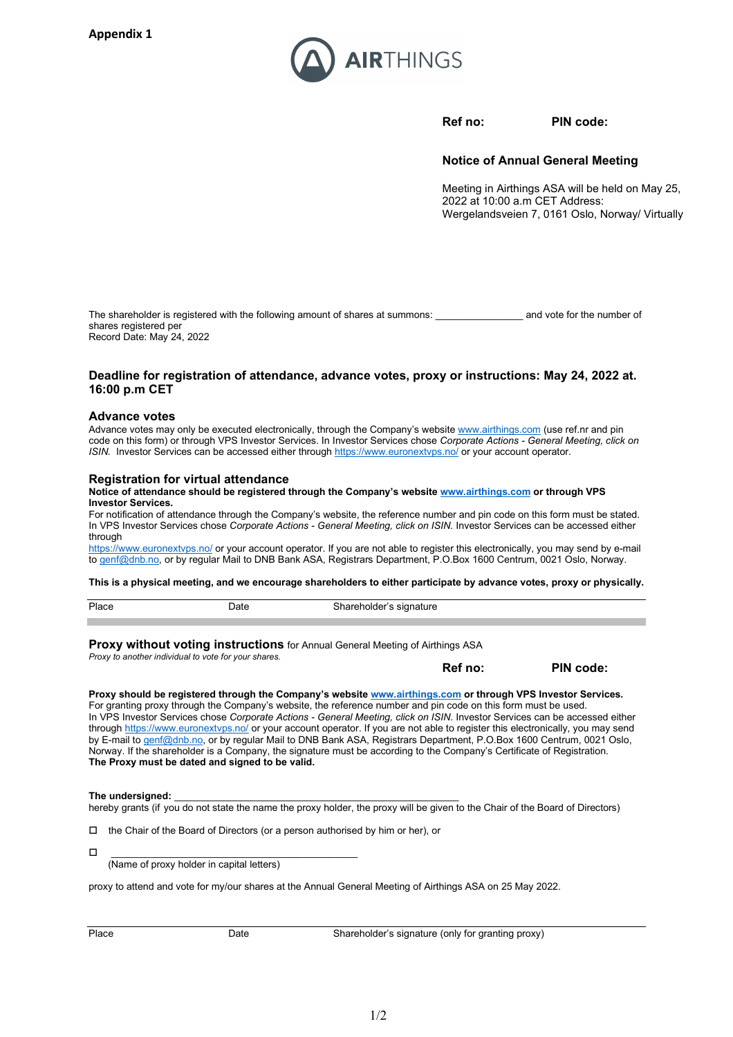

**Ref no: PIN code:**

**Notice of Annual General Meeting** 

Meeting in Airthings ASA will be held on May 25, 2022 at 10:00 a.m CET Address: Wergelandsveien 7, 0161 Oslo, Norway/ Virtually

The shareholder is registered with the following amount of shares at summons: and vote for the number of shares registered per Record Date: May 24, 2022

## **Deadline for registration of attendance, advance votes, proxy or instructions: May 24, 2022 at. 16:00 p.m CET**

#### **Advance votes**

Advance votes may only be executed electronically, through the Company's websit[e www.airthings.com](http://www.airthings.com/) (use ref.nr and pin code on this form) or through VPS Investor Services. In Investor Services chose *Corporate Actions - General Meeting, click on ISIN.* Investor Services can be accessed either throug[h https://www.euronextvps.no/](https://www.euronextvps.no/) or your account operator.

### **Registration for virtual attendance**

#### **Notice of attendance should be registered through the Company's websit[e www.airthings.com](http://www.airthings.com/) or through VPS Investor Services.**

For notification of attendance through the Company's website, the reference number and pin code on this form must be stated. In VPS Investor Services chose *Corporate Actions - General Meeting, click on ISIN.* Investor Services can be accessed either through

<https://www.euronextvps.no/> or your account operator. If you are not able to register this electronically, you may send by e-mail to [genf@dnb.no,](mailto:genf@dnb.no) or by regular Mail to DNB Bank ASA, Registrars Department, P.O.Box 1600 Centrum, 0021 Oslo, Norway.

**This is a physical meeting, and we encourage shareholders to either participate by advance votes, proxy or physically.** 

| Place<br>. | )ate | $\cdot$ |
|------------|------|---------|
|            |      |         |

**Proxy without voting instructions** for Annual General Meeting of Airthings ASA *Proxy to another individual to vote for your shares.*

**Ref no: PIN code:**

### **Proxy should be registered through the Company's website [www.airthings.com](http://www.airthings.com/) or through VPS Investor Services.**

For granting proxy through the Company's website, the reference number and pin code on this form must be used. In VPS Investor Services chose *Corporate Actions - General Meeting, click on ISIN*. Investor Services can be accessed either throug[h https://www.euronextvps.no/](https://www.euronextvps.no/) or your account operator. If you are not able to register this electronically, you may send by E-mail to [genf@dnb.no,](mailto:genf@dnb.no) or by regular Mail to DNB Bank ASA, Registrars Department, P.O.Box 1600 Centrum, 0021 Oslo, Norway. If the shareholder is a Company, the signature must be according to the Company's Certificate of Registration. **The Proxy must be dated and signed to be valid.**

#### The undersianed:

hereby grants (if you do not state the name the proxy holder, the proxy will be given to the Chair of the Board of Directors)

 $\Box$  the Chair of the Board of Directors (or a person authorised by him or her), or

0 <u>\_\_\_\_\_\_\_\_\_\_\_\_\_\_\_\_\_\_\_\_\_\_\_\_\_\_\_\_\_\_\_</u> (Name of proxy holder in capital letters)

proxy to attend and vote for my/our shares at the Annual General Meeting of Airthings ASA on 25 May 2022.

Place Date Date Shareholder's signature (only for granting proxy)